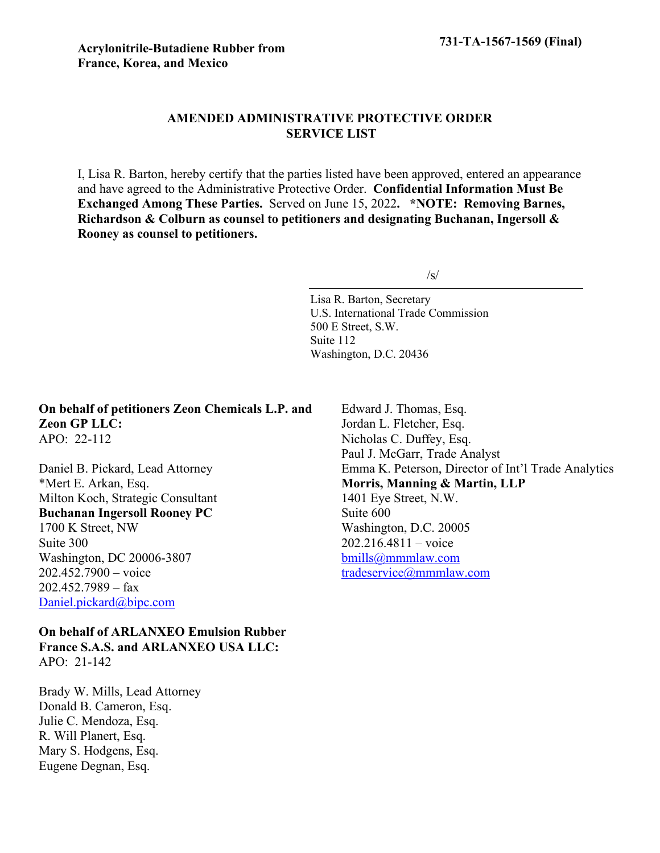# **AMENDED ADMINISTRATIVE PROTECTIVE ORDER SERVICE LIST**

I, Lisa R. Barton, hereby certify that the parties listed have been approved, entered an appearance and have agreed to the Administrative Protective Order. **Confidential Information Must Be Exchanged Among These Parties.** Served on June 15, 2022**. \*NOTE: Removing Barnes, Richardson & Colburn as counsel to petitioners and designating Buchanan, Ingersoll & Rooney as counsel to petitioners.**

 $/s/$ 

Lisa R. Barton, Secretary U.S. International Trade Commission 500 E Street, S.W. Suite 112 Washington, D.C. 20436

**On behalf of petitioners Zeon Chemicals L.P. and Zeon GP LLC:** APO: 22-112

Daniel B. Pickard, Lead Attorney \*Mert E. Arkan, Esq. Milton Koch, Strategic Consultant **Buchanan Ingersoll Rooney PC** 1700 K Street, NW Suite 300 Washington, DC 20006-3807 202.452.7900 – voice 202.452.7989 – fax [Daniel.pickard@bipc.com](mailto:Daniel.pickard@bipc.com)

**On behalf of ARLANXEO Emulsion Rubber France S.A.S. and ARLANXEO USA LLC:** APO: 21-142

Brady W. Mills, Lead Attorney Donald B. Cameron, Esq. Julie C. Mendoza, Esq. R. Will Planert, Esq. Mary S. Hodgens, Esq. Eugene Degnan, Esq.

Edward J. Thomas, Esq. Jordan L. Fletcher, Esq. Nicholas C. Duffey, Esq. Paul J. McGarr, Trade Analyst Emma K. Peterson, Director of Int'l Trade Analytics **Morris, Manning & Martin, LLP** 1401 Eye Street, N.W. Suite 600 Washington, D.C. 20005 202.216.4811 – voice [bmills@mmmlaw.com](mailto:bmills@mmmlaw.com) [tradeservice@mmmlaw.com](mailto:tradeservice@mmmlaw.com)